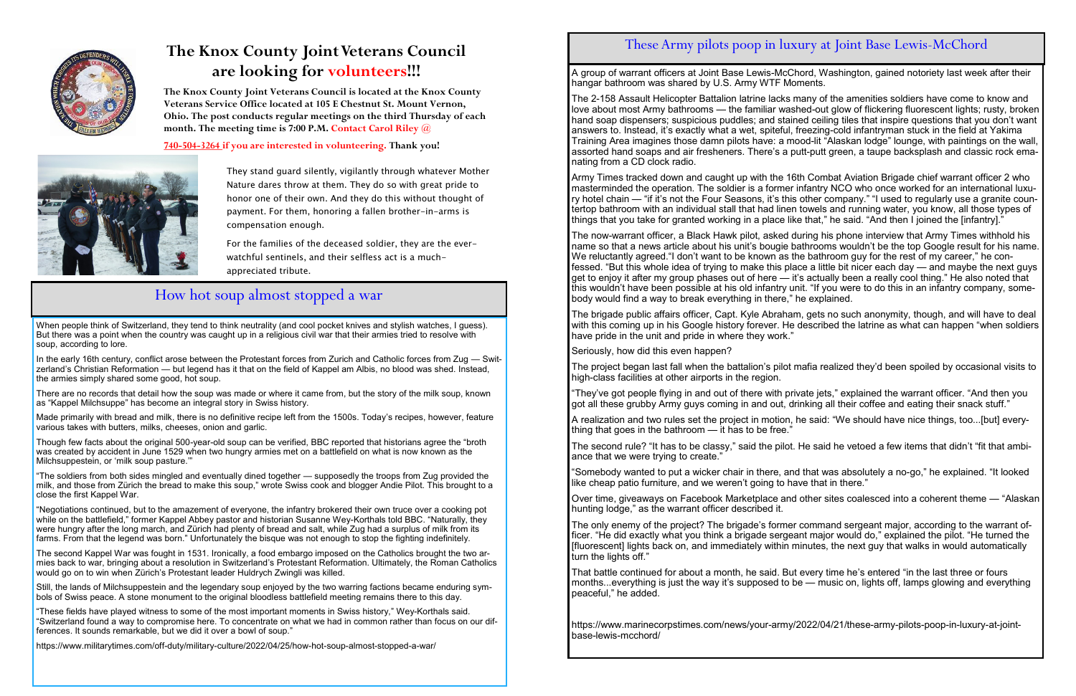

## **The Knox County Joint Veterans Council are looking for volunteers!!!**

They stand guard silently, vigilantly through whatever Mother Nature dares throw at them. They do so with great pride to honor one of their own. And they do this without thought of payment. For them, honoring a fallen brother-in-arms is compensation enough.

For the families of the deceased soldier, they are the everwatchful sentinels, and their selfless act is a muchappreciated tribute.

**The Knox County Joint Veterans Council is located at the Knox County Veterans Service Office located at 105 E Chestnut St. Mount Vernon, Ohio. The post conducts regular meetings on the third Thursday of each month. The meeting time is 7:00 P.M. Contact Carol Riley @** 

**740-504-3264 if you are interested in volunteering. Thank you!**



### How hot soup almost stopped a war

When people think of Switzerland, they tend to think neutrality (and cool pocket knives and stylish watches, I guess). But there was a point when the country was caught up in a religious civil war that their armies tried to resolve with soup, according to lore.

In the early 16th century, conflict arose between the Protestant forces from Zurich and Catholic forces from Zug — Switzerland's Christian Reformation — but legend has it that on the field of Kappel am Albis, no blood was shed. Instead, the armies simply shared some good, hot soup.

There are no records that detail how the soup was made or where it came from, but the story of the milk soup, known as "Kappel Milchsuppe" has become an integral story in Swiss history.

Made primarily with bread and milk, there is no definitive recipe left from the 1500s. Today's recipes, however, feature various takes with butters, milks, cheeses, onion and garlic.

Though few facts about the original 500-year-old soup can be verified, BBC reported that historians agree the "broth was created by accident in June 1529 when two hungry armies met on a battlefield on what is now known as the Milchsuppestein, or 'milk soup pasture.'"

"The soldiers from both sides mingled and eventually dined together — supposedly the troops from Zug provided the milk, and those from Zürich the bread to make this soup," wrote Swiss cook and blogger Andie Pilot. This brought to a close the first Kappel War.

"Negotiations continued, but to the amazement of everyone, the infantry brokered their own truce over a cooking pot while on the battlefield," former Kappel Abbey pastor and historian Susanne Wey-Korthals told BBC. "Naturally, they were hungry after the long march, and Zürich had plenty of bread and salt, while Zug had a surplus of milk from its farms. From that the legend was born." Unfortunately the bisque was not enough to stop the fighting indefinitely.

The second Kappel War was fought in 1531. Ironically, a food embargo imposed on the Catholics brought the two armies back to war, bringing about a resolution in Switzerland's Protestant Reformation. Ultimately, the Roman Catholics would go on to win when Zürich's Protestant leader Huldrych Zwingli was killed.

Still, the lands of Milchsuppestein and the legendary soup enjoyed by the two warring factions became enduring symbols of Swiss peace. A stone monument to the original bloodless battlefield meeting remains there to this day.

"These fields have played witness to some of the most important moments in Swiss history," Wey-Korthals said. "Switzerland found a way to compromise here. To concentrate on what we had in common rather than focus on our differences. It sounds remarkable, but we did it over a bowl of soup."

"Somebody wanted to put a wicker chair in there, and that was absolutely a no-go," he explained. "It looked like cheap patio furniture, and we weren't going to have that in there."

https://www.militarytimes.com/off-duty/military-culture/2022/04/25/how-hot-soup-almost-stopped-a-war/

### These Army pilots poop in luxury at Joint Base Lewis-McChord

A group of warrant officers at Joint Base Lewis-McChord, Washington, gained notoriety last week after their hangar bathroom was shared by U.S. Army WTF Moments.

The 2-158 Assault Helicopter Battalion latrine lacks many of the amenities soldiers have come to know and love about most Army bathrooms — the familiar washed-out glow of flickering fluorescent lights; rusty, broken hand soap dispensers; suspicious puddles; and stained ceiling tiles that inspire questions that you don't want answers to. Instead, it's exactly what a wet, spiteful, freezing-cold infantryman stuck in the field at Yakima Training Area imagines those damn pilots have: a mood-lit "Alaskan lodge" lounge, with paintings on the wall, assorted hand soaps and air fresheners. There's a putt-putt green, a taupe backsplash and classic rock emanating from a CD clock radio.

Army Times tracked down and caught up with the 16th Combat Aviation Brigade chief warrant officer 2 who masterminded the operation. The soldier is a former infantry NCO who once worked for an international luxury hotel chain — "if it's not the Four Seasons, it's this other company." "I used to regularly use a granite countertop bathroom with an individual stall that had linen towels and running water, you know, all those types of things that you take for granted working in a place like that," he said. "And then I joined the [infantry]."

The now-warrant officer, a Black Hawk pilot, asked during his phone interview that Army Times withhold his name so that a news article about his unit's bougie bathrooms wouldn't be the top Google result for his name. We reluctantly agreed."I don't want to be known as the bathroom guy for the rest of my career," he confessed. "But this whole idea of trying to make this place a little bit nicer each day — and maybe the next guys get to enjoy it after my group phases out of here — it's actually been a really cool thing." He also noted that this wouldn't have been possible at his old infantry unit. "If you were to do this in an infantry company, somebody would find a way to break everything in there," he explained.

The brigade public affairs officer, Capt. Kyle Abraham, gets no such anonymity, though, and will have to deal with this coming up in his Google history forever. He described the latrine as what can happen "when soldiers have pride in the unit and pride in where they work."

Seriously, how did this even happen?

The project began last fall when the battalion's pilot mafia realized they'd been spoiled by occasional visits to high-class facilities at other airports in the region.

"They've got people flying in and out of there with private jets," explained the warrant officer. "And then you got all these grubby Army guys coming in and out, drinking all their coffee and eating their snack stuff."

A realization and two rules set the project in motion, he said: "We should have nice things, too...[but] everything that goes in the bathroom — it has to be free."

The second rule? "It has to be classy," said the pilot. He said he vetoed a few items that didn't "fit that ambiance that we were trying to create."

Over time, giveaways on Facebook Marketplace and other sites coalesced into a coherent theme — "Alaskan hunting lodge," as the warrant officer described it.

The only enemy of the project? The brigade's former command sergeant major, according to the warrant officer. "He did exactly what you think a brigade sergeant major would do," explained the pilot. "He turned the [fluorescent] lights back on, and immediately within minutes, the next guy that walks in would automatically turn the lights off."

That battle continued for about a month, he said. But every time he's entered "in the last three or fours months...everything is just the way it's supposed to be — music on, lights off, lamps glowing and everything peaceful," he added.

https://www.marinecorpstimes.com/news/your-army/2022/04/21/these-army-pilots-poop-in-luxury-at-jointbase-lewis-mcchord/